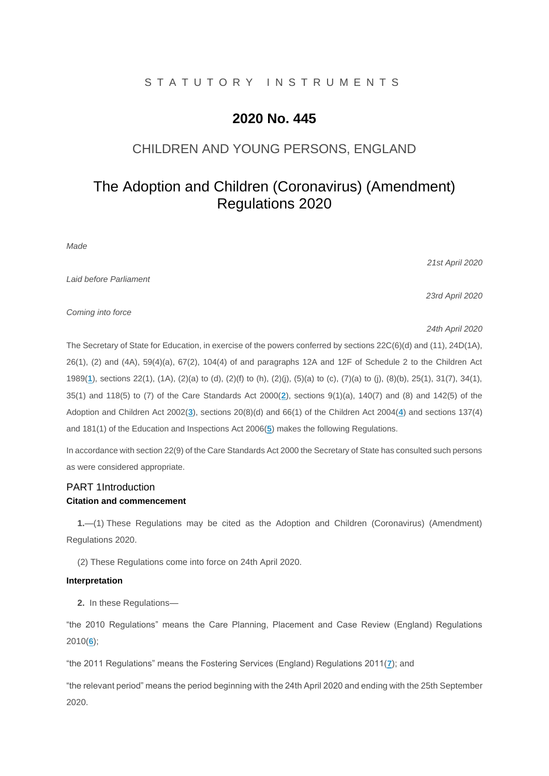### S T A T U T O R Y I N S T R U M E N T S

# **2020 No. 445**

## CHILDREN AND YOUNG PERSONS, ENGLAND

# The Adoption and Children (Coronavirus) (Amendment) Regulations 2020

*Made*

*21st April 2020*

*Laid before Parliament*

*23rd April 2020*

*Coming into force*

*24th April 2020*

The Secretary of State for Education, in exercise of the powers conferred by sections 22C(6)(d) and (11), 24D(1A), 26(1), (2) and (4A), 59(4)(a), 67(2), 104(4) of and paragraphs 12A and 12F of Schedule 2 to the Children Act 1989(**[1](http://www.legislation.gov.uk/uksi/2020/445/made#f00001)**), sections 22(1), (1A), (2)(a) to (d), (2)(f) to (h), (2)(j), (5)(a) to (c), (7)(a) to (j), (8)(b), 25(1), 31(7), 34(1), 35(1) and 118(5) to (7) of the Care Standards Act 2000(**[2](http://www.legislation.gov.uk/uksi/2020/445/made#f00002)**), sections 9(1)(a), 140(7) and (8) and 142(5) of the Adoption and Children Act 2002(**[3](http://www.legislation.gov.uk/uksi/2020/445/made#f00003)**), sections 20(8)(d) and 66(1) of the Children Act 2004(**[4](http://www.legislation.gov.uk/uksi/2020/445/made#f00004)**) and sections 137(4) and 181(1) of the Education and Inspections Act 2006(**[5](http://www.legislation.gov.uk/uksi/2020/445/made#f00005)**) makes the following Regulations.

In accordance with section 22(9) of the Care Standards Act 2000 the Secretary of State has consulted such persons as were considered appropriate.

### PART 1Introduction **Citation and commencement**

**1.**—(1) These Regulations may be cited as the Adoption and Children (Coronavirus) (Amendment) Regulations 2020.

(2) These Regulations come into force on 24th April 2020.

### **Interpretation**

**2.** In these Regulations—

"the 2010 Regulations" means the Care Planning, Placement and Case Review (England) Regulations 2010(**[6](http://www.legislation.gov.uk/uksi/2020/445/made#f00006)**);

"the 2011 Regulations" means the Fostering Services (England) Regulations 2011(**[7](http://www.legislation.gov.uk/uksi/2020/445/made#f00007)**); and

"the relevant period" means the period beginning with the 24th April 2020 and ending with the 25th September 2020.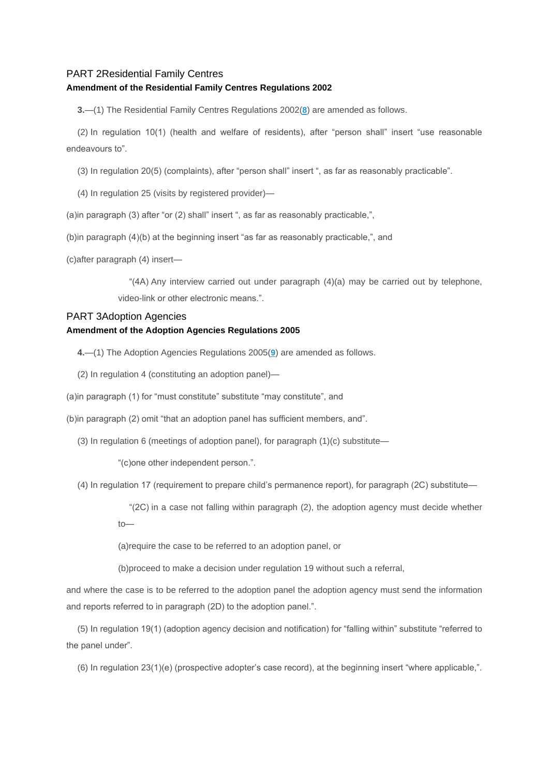#### PART 2Residential Family Centres

#### **Amendment of the Residential Family Centres Regulations 2002**

**3.**—(1) The Residential Family Centres Regulations 2002(**[8](http://www.legislation.gov.uk/uksi/2020/445/made#f00008)**) are amended as follows.

(2) In regulation 10(1) (health and welfare of residents), after "person shall" insert "use reasonable endeavours to".

(3) In regulation 20(5) (complaints), after "person shall" insert ", as far as reasonably practicable".

(4) In regulation 25 (visits by registered provider)—

(a)in paragraph (3) after "or (2) shall" insert ", as far as reasonably practicable,",

(b)in paragraph (4)(b) at the beginning insert "as far as reasonably practicable,", and

(c)after paragraph (4) insert—

" $(4)$  Any interview carried out under paragraph  $(4)(a)$  may be carried out by telephone, video-link or other electronic means.".

### PART 3Adoption Agencies

#### **Amendment of the Adoption Agencies Regulations 2005**

**4.**—(1) The Adoption Agencies Regulations 2005(**[9](http://www.legislation.gov.uk/uksi/2020/445/made#f00009)**) are amended as follows.

(2) In regulation 4 (constituting an adoption panel)—

(a)in paragraph (1) for "must constitute" substitute "may constitute", and

(b)in paragraph (2) omit "that an adoption panel has sufficient members, and".

(3) In regulation 6 (meetings of adoption panel), for paragraph (1)(c) substitute—

"(c)one other independent person.".

(4) In regulation 17 (requirement to prepare child's permanence report), for paragraph (2C) substitute—

"(2C) in a case not falling within paragraph (2), the adoption agency must decide whether to—

(a)require the case to be referred to an adoption panel, or

(b)proceed to make a decision under regulation 19 without such a referral,

and where the case is to be referred to the adoption panel the adoption agency must send the information and reports referred to in paragraph (2D) to the adoption panel.".

(5) In regulation 19(1) (adoption agency decision and notification) for "falling within" substitute "referred to the panel under".

(6) In regulation 23(1)(e) (prospective adopter's case record), at the beginning insert "where applicable,".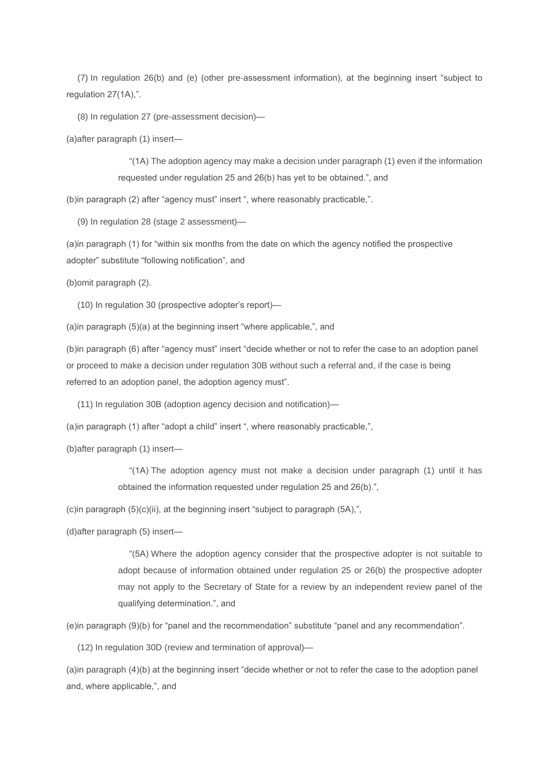(7) In regulation 26(b) and (e) (other pre-assessment information), at the beginning insert "subject to regulation 27(1A),".

(8) In regulation 27 (pre-assessment decision)—

(a)after paragraph (1) insert—

"(1A) The adoption agency may make a decision under paragraph (1) even if the information requested under regulation 25 and 26(b) has yet to be obtained.", and

(b)in paragraph (2) after "agency must" insert ", where reasonably practicable,".

(9) In regulation 28 (stage 2 assessment)—

(a)in paragraph (1) for "within six months from the date on which the agency notified the prospective adopter" substitute "following notification", and

(b)omit paragraph (2).

(10) In regulation 30 (prospective adopter's report)—

(a)in paragraph (5)(a) at the beginning insert "where applicable,", and

(b)in paragraph (6) after "agency must" insert "decide whether or not to refer the case to an adoption panel or proceed to make a decision under regulation 30B without such a referral and, if the case is being referred to an adoption panel, the adoption agency must".

(11) In regulation 30B (adoption agency decision and notification)—

(a)in paragraph (1) after "adopt a child" insert ", where reasonably practicable,",

(b)after paragraph (1) insert—

"(1A) The adoption agency must not make a decision under paragraph (1) until it has obtained the information requested under regulation 25 and 26(b).",

(c)in paragraph (5)(c)(ii), at the beginning insert "subject to paragraph (5A),",

(d)after paragraph (5) insert—

"(5A) Where the adoption agency consider that the prospective adopter is not suitable to adopt because of information obtained under regulation 25 or 26(b) the prospective adopter may not apply to the Secretary of State for a review by an independent review panel of the qualifying determination.", and

(e)in paragraph (9)(b) for "panel and the recommendation" substitute "panel and any recommendation".

(12) In regulation 30D (review and termination of approval)—

(a)in paragraph (4)(b) at the beginning insert "decide whether or not to refer the case to the adoption panel and, where applicable,", and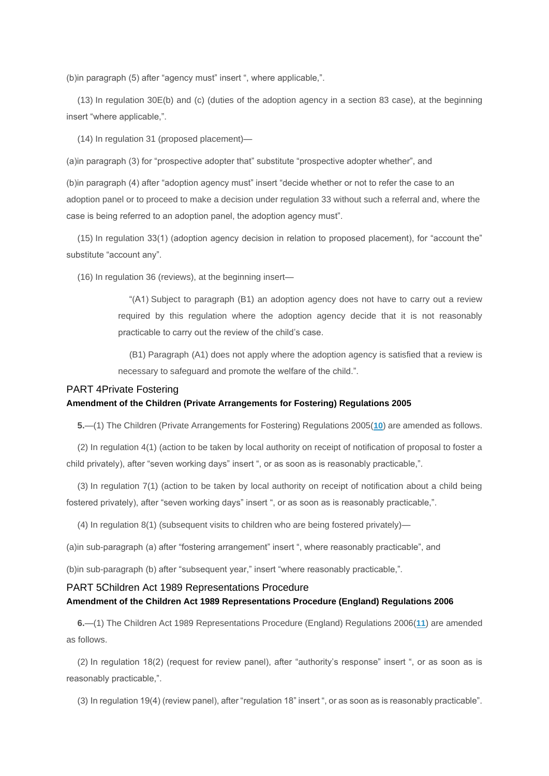(b)in paragraph (5) after "agency must" insert ", where applicable,".

(13) In regulation 30E(b) and (c) (duties of the adoption agency in a section 83 case), at the beginning insert "where applicable,".

(14) In regulation 31 (proposed placement)—

(a)in paragraph (3) for "prospective adopter that" substitute "prospective adopter whether", and

(b)in paragraph (4) after "adoption agency must" insert "decide whether or not to refer the case to an adoption panel or to proceed to make a decision under regulation 33 without such a referral and, where the case is being referred to an adoption panel, the adoption agency must".

(15) In regulation 33(1) (adoption agency decision in relation to proposed placement), for "account the" substitute "account any".

(16) In regulation 36 (reviews), at the beginning insert—

"(A1) Subject to paragraph (B1) an adoption agency does not have to carry out a review required by this regulation where the adoption agency decide that it is not reasonably practicable to carry out the review of the child's case.

(B1) Paragraph (A1) does not apply where the adoption agency is satisfied that a review is necessary to safeguard and promote the welfare of the child.".

### PART 4Private Fostering

#### **Amendment of the Children (Private Arrangements for Fostering) Regulations 2005**

**5.**—(1) The Children (Private Arrangements for Fostering) Regulations 2005(**[10](http://www.legislation.gov.uk/uksi/2020/445/made#f00010)**) are amended as follows.

(2) In regulation 4(1) (action to be taken by local authority on receipt of notification of proposal to foster a child privately), after "seven working days" insert ", or as soon as is reasonably practicable,".

(3) In regulation 7(1) (action to be taken by local authority on receipt of notification about a child being fostered privately), after "seven working days" insert ", or as soon as is reasonably practicable,".

(4) In regulation 8(1) (subsequent visits to children who are being fostered privately)—

(a)in sub-paragraph (a) after "fostering arrangement" insert ", where reasonably practicable", and

(b)in sub-paragraph (b) after "subsequent year," insert "where reasonably practicable,".

#### PART 5Children Act 1989 Representations Procedure

### **Amendment of the Children Act 1989 Representations Procedure (England) Regulations 2006**

**6.**—(1) The Children Act 1989 Representations Procedure (England) Regulations 2006(**[11](http://www.legislation.gov.uk/uksi/2020/445/made#f00011)**) are amended as follows.

(2) In regulation 18(2) (request for review panel), after "authority's response" insert ", or as soon as is reasonably practicable,".

(3) In regulation 19(4) (review panel), after "regulation 18" insert ", or as soon as is reasonably practicable".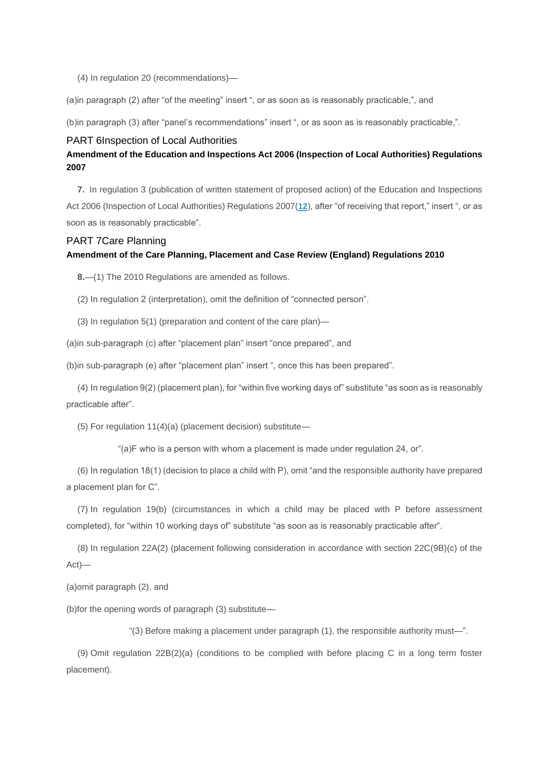(4) In regulation 20 (recommendations)—

(a)in paragraph (2) after "of the meeting" insert ", or as soon as is reasonably practicable,", and

(b)in paragraph (3) after "panel's recommendations" insert ", or as soon as is reasonably practicable,".

#### PART 6Inspection of Local Authorities

### **Amendment of the Education and Inspections Act 2006 (Inspection of Local Authorities) Regulations 2007**

**7.** In regulation 3 (publication of written statement of proposed action) of the Education and Inspections Act 2006 (Inspection of Local Authorities) Regulations 2007(**[12](http://www.legislation.gov.uk/uksi/2020/445/made#f00012)**), after "of receiving that report," insert ", or as soon as is reasonably practicable".

### PART 7Care Planning

### **Amendment of the Care Planning, Placement and Case Review (England) Regulations 2010**

**8.**—(1) The 2010 Regulations are amended as follows.

(2) In regulation 2 (interpretation), omit the definition of "connected person".

(3) In regulation 5(1) (preparation and content of the care plan)—

(a)in sub-paragraph (c) after "placement plan" insert "once prepared", and

(b)in sub-paragraph (e) after "placement plan" insert ", once this has been prepared".

(4) In regulation 9(2) (placement plan), for "within five working days of" substitute "as soon as is reasonably practicable after".

(5) For regulation 11(4)(a) (placement decision) substitute—

"(a)F who is a person with whom a placement is made under regulation 24, or".

(6) In regulation 18(1) (decision to place a child with P), omit "and the responsible authority have prepared a placement plan for C".

(7) In regulation 19(b) (circumstances in which a child may be placed with P before assessment completed), for "within 10 working days of" substitute "as soon as is reasonably practicable after".

(8) In regulation 22A(2) (placement following consideration in accordance with section 22C(9B)(c) of the Act)—

(a)omit paragraph (2), and

(b)for the opening words of paragraph (3) substitute—

"(3) Before making a placement under paragraph (1), the responsible authority must—".

(9) Omit regulation 22B(2)(a) (conditions to be complied with before placing C in a long term foster placement).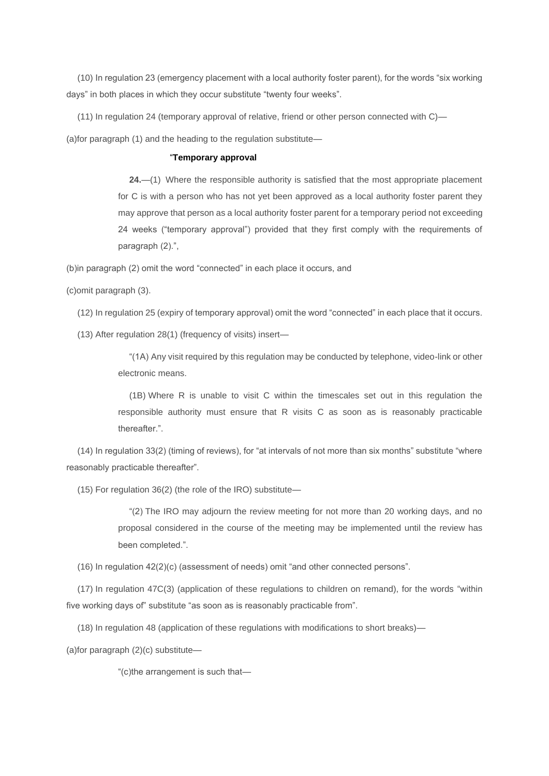(10) In regulation 23 (emergency placement with a local authority foster parent), for the words "six working days" in both places in which they occur substitute "twenty four weeks".

(11) In regulation 24 (temporary approval of relative, friend or other person connected with C)—

(a)for paragraph (1) and the heading to the regulation substitute—

### "**Temporary approval**

**24.**—(1) Where the responsible authority is satisfied that the most appropriate placement for C is with a person who has not yet been approved as a local authority foster parent they may approve that person as a local authority foster parent for a temporary period not exceeding 24 weeks ("temporary approval") provided that they first comply with the requirements of paragraph (2).",

(b)in paragraph (2) omit the word "connected" in each place it occurs, and

(c)omit paragraph (3).

(12) In regulation 25 (expiry of temporary approval) omit the word "connected" in each place that it occurs.

(13) After regulation 28(1) (frequency of visits) insert—

"(1A) Any visit required by this regulation may be conducted by telephone, video-link or other electronic means.

(1B) Where R is unable to visit C within the timescales set out in this regulation the responsible authority must ensure that R visits C as soon as is reasonably practicable thereafter.".

(14) In regulation 33(2) (timing of reviews), for "at intervals of not more than six months" substitute "where reasonably practicable thereafter".

(15) For regulation 36(2) (the role of the IRO) substitute—

"(2) The IRO may adjourn the review meeting for not more than 20 working days, and no proposal considered in the course of the meeting may be implemented until the review has been completed.".

(16) In regulation 42(2)(c) (assessment of needs) omit "and other connected persons".

(17) In regulation 47C(3) (application of these regulations to children on remand), for the words "within five working days of" substitute "as soon as is reasonably practicable from".

(18) In regulation 48 (application of these regulations with modifications to short breaks)—

(a)for paragraph (2)(c) substitute—

"(c)the arrangement is such that—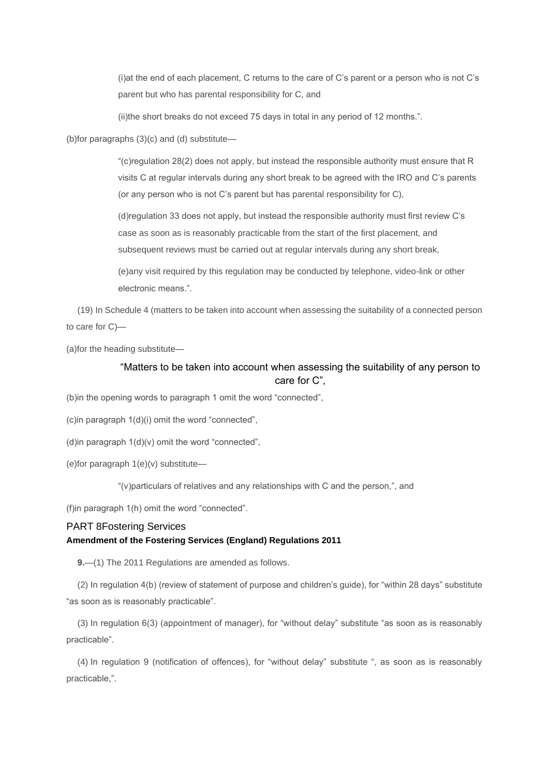(i)at the end of each placement, C returns to the care of C's parent or a person who is not C's parent but who has parental responsibility for C, and

(ii)the short breaks do not exceed 75 days in total in any period of 12 months.".

(b)for paragraphs (3)(c) and (d) substitute—

"(c)regulation 28(2) does not apply, but instead the responsible authority must ensure that R visits C at regular intervals during any short break to be agreed with the IRO and C's parents (or any person who is not C's parent but has parental responsibility for C),

(d)regulation 33 does not apply, but instead the responsible authority must first review C's case as soon as is reasonably practicable from the start of the first placement, and subsequent reviews must be carried out at regular intervals during any short break,

(e)any visit required by this regulation may be conducted by telephone, video-link or other electronic means.".

(19) In Schedule 4 (matters to be taken into account when assessing the suitability of a connected person to care for C)—

(a)for the heading substitute—

### "Matters to be taken into account when assessing the suitability of any person to care for C",

(b)in the opening words to paragraph 1 omit the word "connected",

(c)in paragraph 1(d)(i) omit the word "connected",

(d)in paragraph 1(d)(v) omit the word "connected",

(e)for paragraph 1(e)(v) substitute—

"(v)particulars of relatives and any relationships with C and the person,", and

(f)in paragraph 1(h) omit the word "connected".

### PART 8Fostering Services **Amendment of the Fostering Services (England) Regulations 2011**

**9.**—(1) The 2011 Regulations are amended as follows.

(2) In regulation 4(b) (review of statement of purpose and children's guide), for "within 28 days" substitute "as soon as is reasonably practicable".

(3) In regulation 6(3) (appointment of manager), for "without delay" substitute "as soon as is reasonably practicable".

(4) In regulation 9 (notification of offences), for "without delay" substitute ", as soon as is reasonably practicable,".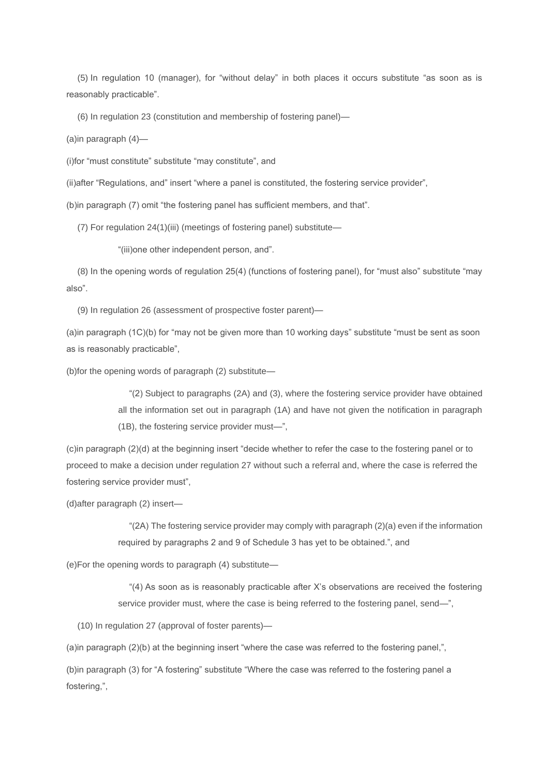(5) In regulation 10 (manager), for "without delay" in both places it occurs substitute "as soon as is reasonably practicable".

(6) In regulation 23 (constitution and membership of fostering panel)—

(a)in paragraph (4)—

(i)for "must constitute" substitute "may constitute", and

(ii)after "Regulations, and" insert "where a panel is constituted, the fostering service provider",

(b)in paragraph (7) omit "the fostering panel has sufficient members, and that".

(7) For regulation 24(1)(iii) (meetings of fostering panel) substitute—

"(iii)one other independent person, and".

(8) In the opening words of regulation 25(4) (functions of fostering panel), for "must also" substitute "may also".

(9) In regulation 26 (assessment of prospective foster parent)—

(a)in paragraph (1C)(b) for "may not be given more than 10 working days" substitute "must be sent as soon as is reasonably practicable",

(b)for the opening words of paragraph (2) substitute—

"(2) Subject to paragraphs (2A) and (3), where the fostering service provider have obtained all the information set out in paragraph (1A) and have not given the notification in paragraph (1B), the fostering service provider must—",

(c)in paragraph (2)(d) at the beginning insert "decide whether to refer the case to the fostering panel or to proceed to make a decision under regulation 27 without such a referral and, where the case is referred the fostering service provider must",

(d)after paragraph (2) insert—

"(2A) The fostering service provider may comply with paragraph (2)(a) even if the information required by paragraphs 2 and 9 of Schedule 3 has yet to be obtained.", and

(e)For the opening words to paragraph (4) substitute—

"(4) As soon as is reasonably practicable after X's observations are received the fostering service provider must, where the case is being referred to the fostering panel, send—",

(10) In regulation 27 (approval of foster parents)—

(a)in paragraph (2)(b) at the beginning insert "where the case was referred to the fostering panel,",

(b)in paragraph (3) for "A fostering" substitute "Where the case was referred to the fostering panel a fostering,",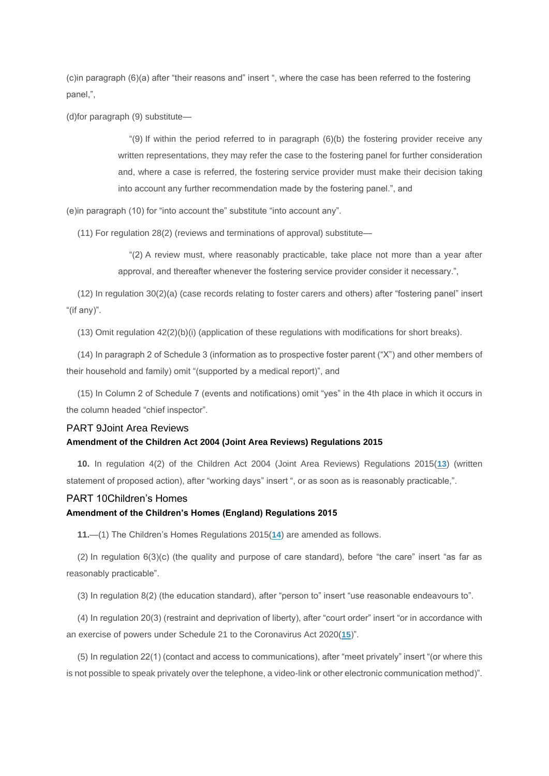(c)in paragraph (6)(a) after "their reasons and" insert ", where the case has been referred to the fostering panel,",

(d)for paragraph (9) substitute—

"(9) If within the period referred to in paragraph  $(6)(b)$  the fostering provider receive any written representations, they may refer the case to the fostering panel for further consideration and, where a case is referred, the fostering service provider must make their decision taking into account any further recommendation made by the fostering panel.", and

(e)in paragraph (10) for "into account the" substitute "into account any".

(11) For regulation 28(2) (reviews and terminations of approval) substitute—

"(2) A review must, where reasonably practicable, take place not more than a year after approval, and thereafter whenever the fostering service provider consider it necessary.",

(12) In regulation 30(2)(a) (case records relating to foster carers and others) after "fostering panel" insert "(if any)".

(13) Omit regulation 42(2)(b)(i) (application of these regulations with modifications for short breaks).

(14) In paragraph 2 of Schedule 3 (information as to prospective foster parent ("X") and other members of their household and family) omit "(supported by a medical report)", and

(15) In Column 2 of Schedule 7 (events and notifications) omit "yes" in the 4th place in which it occurs in the column headed "chief inspector".

### PART 9Joint Area Reviews

#### **Amendment of the Children Act 2004 (Joint Area Reviews) Regulations 2015**

**10.** In regulation 4(2) of the Children Act 2004 (Joint Area Reviews) Regulations 2015(**[13](http://www.legislation.gov.uk/uksi/2020/445/made#f00013)**) (written statement of proposed action), after "working days" insert ", or as soon as is reasonably practicable,".

### PART 10Children's Homes

### **Amendment of the Children's Homes (England) Regulations 2015**

**11.**—(1) The Children's Homes Regulations 2015(**[14](http://www.legislation.gov.uk/uksi/2020/445/made#f00014)**) are amended as follows.

(2) In regulation 6(3)(c) (the quality and purpose of care standard), before "the care" insert "as far as reasonably practicable".

(3) In regulation 8(2) (the education standard), after "person to" insert "use reasonable endeavours to".

(4) In regulation 20(3) (restraint and deprivation of liberty), after "court order" insert "or in accordance with an exercise of powers under Schedule 21 to the Coronavirus Act 2020(**[15](http://www.legislation.gov.uk/uksi/2020/445/made#f00015)**)".

(5) In regulation 22(1) (contact and access to communications), after "meet privately" insert "(or where this is not possible to speak privately over the telephone, a video-link or other electronic communication method)".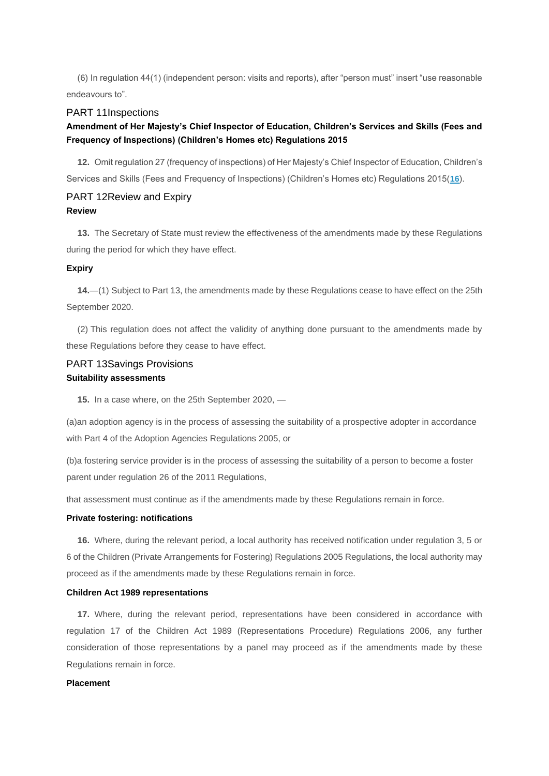(6) In regulation 44(1) (independent person: visits and reports), after "person must" insert "use reasonable endeavours to".

### PART 11Inspections

### **Amendment of Her Majesty's Chief Inspector of Education, Children's Services and Skills (Fees and Frequency of Inspections) (Children's Homes etc) Regulations 2015**

**12.** Omit regulation 27 (frequency of inspections) of Her Majesty's Chief Inspector of Education, Children's Services and Skills (Fees and Frequency of Inspections) (Children's Homes etc) Regulations 2015(**[16](http://www.legislation.gov.uk/uksi/2020/445/made#f00016)**).

### PART 12Review and Expiry **Review**

**13.** The Secretary of State must review the effectiveness of the amendments made by these Regulations during the period for which they have effect.

#### **Expiry**

**14.**—(1) Subject to Part 13, the amendments made by these Regulations cease to have effect on the 25th September 2020.

(2) This regulation does not affect the validity of anything done pursuant to the amendments made by these Regulations before they cease to have effect.

### PART 13Savings Provisions **Suitability assessments**

**15.** In a case where, on the 25th September 2020, —

(a)an adoption agency is in the process of assessing the suitability of a prospective adopter in accordance with Part 4 of the Adoption Agencies Regulations 2005, or

(b)a fostering service provider is in the process of assessing the suitability of a person to become a foster parent under regulation 26 of the 2011 Regulations,

that assessment must continue as if the amendments made by these Regulations remain in force.

### **Private fostering: notifications**

**16.** Where, during the relevant period, a local authority has received notification under regulation 3, 5 or 6 of the Children (Private Arrangements for Fostering) Regulations 2005 Regulations, the local authority may proceed as if the amendments made by these Regulations remain in force.

### **Children Act 1989 representations**

**17.** Where, during the relevant period, representations have been considered in accordance with regulation 17 of the Children Act 1989 (Representations Procedure) Regulations 2006, any further consideration of those representations by a panel may proceed as if the amendments made by these Regulations remain in force.

#### **Placement**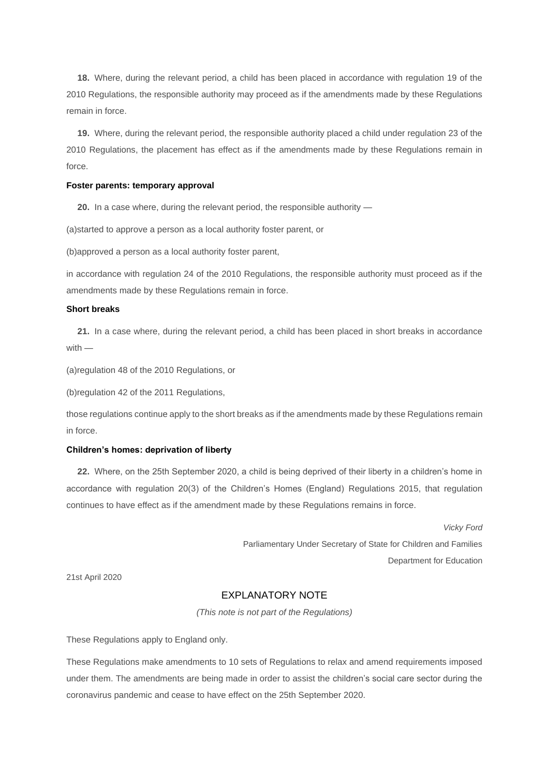**18.** Where, during the relevant period, a child has been placed in accordance with regulation 19 of the 2010 Regulations, the responsible authority may proceed as if the amendments made by these Regulations remain in force.

**19.** Where, during the relevant period, the responsible authority placed a child under regulation 23 of the 2010 Regulations, the placement has effect as if the amendments made by these Regulations remain in force.

#### **Foster parents: temporary approval**

**20.** In a case where, during the relevant period, the responsible authority —

(a)started to approve a person as a local authority foster parent, or

(b)approved a person as a local authority foster parent,

in accordance with regulation 24 of the 2010 Regulations, the responsible authority must proceed as if the amendments made by these Regulations remain in force.

#### **Short breaks**

**21.** In a case where, during the relevant period, a child has been placed in short breaks in accordance with —

(a)regulation 48 of the 2010 Regulations, or

(b)regulation 42 of the 2011 Regulations,

those regulations continue apply to the short breaks as if the amendments made by these Regulations remain in force.

#### **Children's homes: deprivation of liberty**

**22.** Where, on the 25th September 2020, a child is being deprived of their liberty in a children's home in accordance with regulation 20(3) of the Children's Homes (England) Regulations 2015, that regulation continues to have effect as if the amendment made by these Regulations remains in force.

> *Vicky Ford* Parliamentary Under Secretary of State for Children and Families Department for Education

21st April 2020

### EXPLANATORY NOTE

*(This note is not part of the Regulations)*

These Regulations apply to England only.

These Regulations make amendments to 10 sets of Regulations to relax and amend requirements imposed under them. The amendments are being made in order to assist the children's social care sector during the coronavirus pandemic and cease to have effect on the 25th September 2020.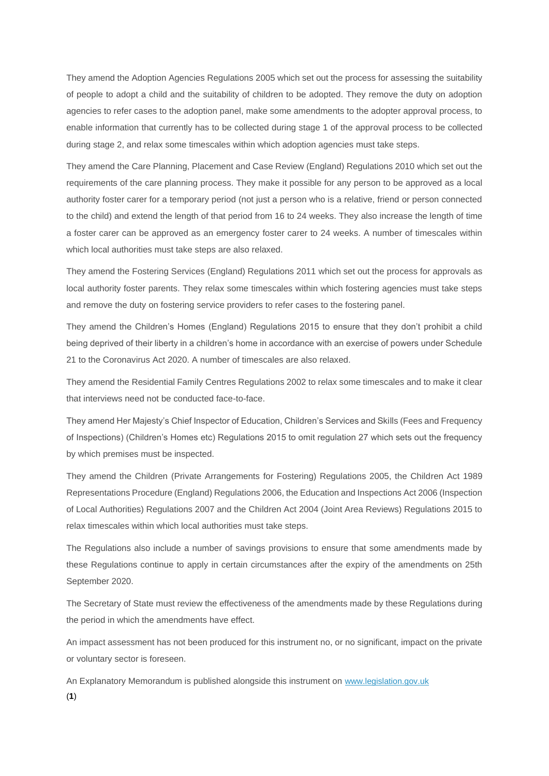They amend the Adoption Agencies Regulations 2005 which set out the process for assessing the suitability of people to adopt a child and the suitability of children to be adopted. They remove the duty on adoption agencies to refer cases to the adoption panel, make some amendments to the adopter approval process, to enable information that currently has to be collected during stage 1 of the approval process to be collected during stage 2, and relax some timescales within which adoption agencies must take steps.

They amend the Care Planning, Placement and Case Review (England) Regulations 2010 which set out the requirements of the care planning process. They make it possible for any person to be approved as a local authority foster carer for a temporary period (not just a person who is a relative, friend or person connected to the child) and extend the length of that period from 16 to 24 weeks. They also increase the length of time a foster carer can be approved as an emergency foster carer to 24 weeks. A number of timescales within which local authorities must take steps are also relaxed.

They amend the Fostering Services (England) Regulations 2011 which set out the process for approvals as local authority foster parents. They relax some timescales within which fostering agencies must take steps and remove the duty on fostering service providers to refer cases to the fostering panel.

They amend the Children's Homes (England) Regulations 2015 to ensure that they don't prohibit a child being deprived of their liberty in a children's home in accordance with an exercise of powers under Schedule 21 to the Coronavirus Act 2020. A number of timescales are also relaxed.

They amend the Residential Family Centres Regulations 2002 to relax some timescales and to make it clear that interviews need not be conducted face-to-face.

They amend Her Majesty's Chief Inspector of Education, Children's Services and Skills (Fees and Frequency of Inspections) (Children's Homes etc) Regulations 2015 to omit regulation 27 which sets out the frequency by which premises must be inspected.

They amend the Children (Private Arrangements for Fostering) Regulations 2005, the Children Act 1989 Representations Procedure (England) Regulations 2006, the Education and Inspections Act 2006 (Inspection of Local Authorities) Regulations 2007 and the Children Act 2004 (Joint Area Reviews) Regulations 2015 to relax timescales within which local authorities must take steps.

The Regulations also include a number of savings provisions to ensure that some amendments made by these Regulations continue to apply in certain circumstances after the expiry of the amendments on 25th September 2020.

The Secretary of State must review the effectiveness of the amendments made by these Regulations during the period in which the amendments have effect.

An impact assessment has not been produced for this instrument no, or no significant, impact on the private or voluntary sector is foreseen.

An Explanatory Memorandum is published alongside this instrument on [www.legislation.gov.uk](http://www.legislation.gov.uk/) (**1**)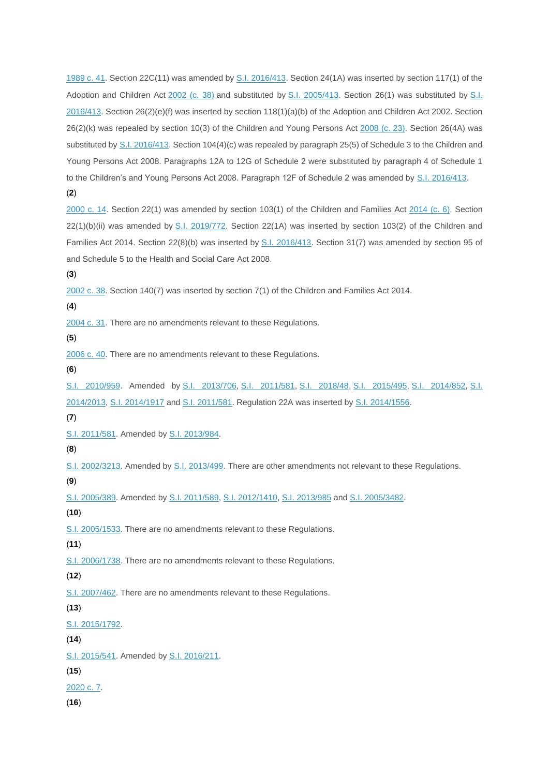[1989 c. 41.](http://www.legislation.gov.uk/id/ukpga/1989/41) Section 22C(11) was amended by [S.I. 2016/413.](http://www.legislation.gov.uk/id/uksi/2016/413) Section 24(1A) was inserted by section 117(1) of the Adoption and Children Act [2002 \(c. 38\)](http://www.legislation.gov.uk/id/ukpga/2002/38) and substituted by [S.I. 2005/413.](http://www.legislation.gov.uk/id/uksi/2005/413) Section 26(1) was substituted by S.I.  $2016/413$ . Section  $26(2)(e)(f)$  was inserted by section  $118(1)(a)(b)$  of the Adoption and Children Act 2002. Section 26(2)(k) was repealed by section 10(3) of the Children and Young Persons Act [2008 \(c. 23\).](http://www.legislation.gov.uk/id/ukpga/2008/23) Section 26(4A) was substituted by [S.I. 2016/413.](http://www.legislation.gov.uk/id/uksi/2016/413) Section 104(4)(c) was repealed by paragraph 25(5) of Schedule 3 to the Children and Young Persons Act 2008. Paragraphs 12A to 12G of Schedule 2 were substituted by paragraph 4 of Schedule 1 to the Children's and Young Persons Act 2008. Paragraph 12F of Schedule 2 was amended by [S.I. 2016/413.](http://www.legislation.gov.uk/id/uksi/2016/413)

(**2**)

[2000 c. 14.](http://www.legislation.gov.uk/id/ukpga/2000/14) Section 22(1) was amended by section 103(1) of the Children and Families Act [2014 \(c. 6\).](http://www.legislation.gov.uk/id/ukpga/2014/6) Section 22(1)(b)(ii) was amended by [S.I. 2019/772.](http://www.legislation.gov.uk/id/uksi/2019/772) Section 22(1A) was inserted by section 103(2) of the Children and Families Act 2014. Section 22(8)(b) was inserted by [S.I. 2016/413.](http://www.legislation.gov.uk/id/uksi/2016/413) Section 31(7) was amended by section 95 of and Schedule 5 to the Health and Social Care Act 2008.

(**3**)

[2002 c. 38.](http://www.legislation.gov.uk/id/ukpga/2002/38) Section 140(7) was inserted by section 7(1) of the Children and Families Act 2014.

(**4**)

[2004 c. 31.](http://www.legislation.gov.uk/id/ukpga/2004/31) There are no amendments relevant to these Regulations.

(**5**)

[2006 c. 40.](http://www.legislation.gov.uk/id/ukpga/2006/40) There are no amendments relevant to these Regulations.

(**6**)

[S.I. 2010/959.](http://www.legislation.gov.uk/id/uksi/2010/959) Amended by [S.I. 2013/706,](http://www.legislation.gov.uk/id/uksi/2013/706) [S.I. 2011/581,](http://www.legislation.gov.uk/id/uksi/2011/581) [S.I. 2018/48,](http://www.legislation.gov.uk/id/uksi/2018/48) [S.I. 2015/495,](http://www.legislation.gov.uk/id/uksi/2015/495) [S.I. 2014/852,](http://www.legislation.gov.uk/id/uksi/2014/852) [S.I.](http://www.legislation.gov.uk/id/uksi/2014/2013)  [2014/2013,](http://www.legislation.gov.uk/id/uksi/2014/2013) [S.I. 2014/1917](http://www.legislation.gov.uk/id/uksi/2014/1917) and [S.I. 2011/581.](http://www.legislation.gov.uk/id/uksi/2011/581) Regulation 22A was inserted by [S.I. 2014/1556.](http://www.legislation.gov.uk/id/uksi/2014/1556)

(**7**)

[S.I. 2011/581.](http://www.legislation.gov.uk/id/uksi/2011/581) Amended by [S.I. 2013/984.](http://www.legislation.gov.uk/id/uksi/2013/984)

```
(8)
```
[S.I. 2002/3213.](http://www.legislation.gov.uk/id/uksi/2002/3213) Amended by [S.I. 2013/499.](http://www.legislation.gov.uk/id/uksi/2013/499) There are other amendments not relevant to these Regulations.

(**9**)

[S.I. 2005/389.](http://www.legislation.gov.uk/id/uksi/2005/389) Amended by [S.I. 2011/589,](http://www.legislation.gov.uk/id/uksi/2011/589) [S.I. 2012/1410,](http://www.legislation.gov.uk/id/uksi/2012/1410) [S.I. 2013/985](http://www.legislation.gov.uk/id/uksi/2013/985) and [S.I. 2005/3482.](http://www.legislation.gov.uk/id/uksi/2005/3482)

(**10**)

[S.I. 2005/1533.](http://www.legislation.gov.uk/id/uksi/2005/1533) There are no amendments relevant to these Regulations.

(**11**)

[S.I. 2006/1738.](http://www.legislation.gov.uk/id/uksi/2006/1738) There are no amendments relevant to these Regulations.

(**12**)

[S.I. 2007/462.](http://www.legislation.gov.uk/id/uksi/2007/462) There are no amendments relevant to these Regulations.

(**13**)

[S.I. 2015/1792.](http://www.legislation.gov.uk/id/uksi/2015/1792)

(**14**)

[S.I. 2015/541.](http://www.legislation.gov.uk/id/uksi/2015/541) Amended by [S.I. 2016/211.](http://www.legislation.gov.uk/id/uksi/2016/211)

(**15**)

[2020 c. 7.](http://www.legislation.gov.uk/id/ukpga/2020/7)

(**16**)